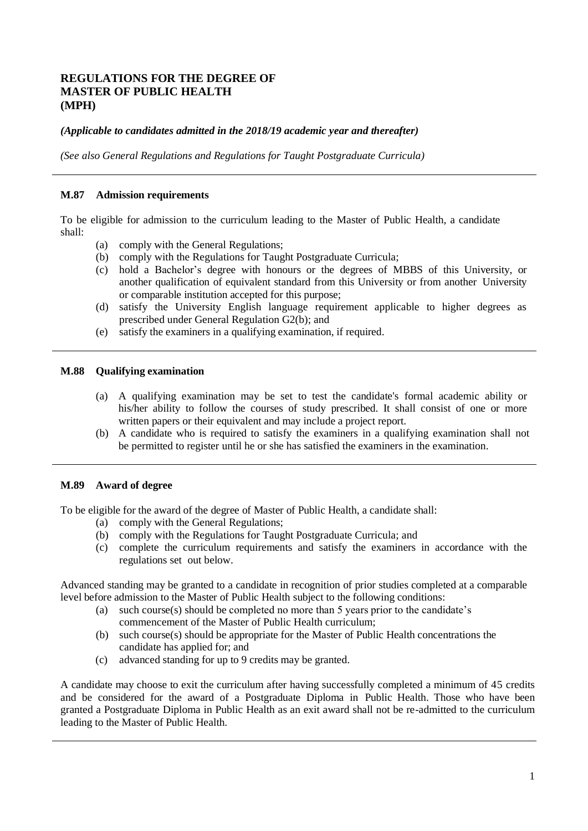# **REGULATIONS FOR THE DEGREE OF MASTER OF PUBLIC HEALTH (MPH)**

## *(Applicable to candidates admitted in the 2018/19 academic year and thereafter)*

*(See also General Regulations and Regulations for Taught Postgraduate Curricula)*

#### **M.87 Admission requirements**

To be eligible for admission to the curriculum leading to the Master of Public Health, a candidate shall:

- (a) comply with the General Regulations;
- (b) comply with the Regulations for Taught Postgraduate Curricula;
- (c) hold a Bachelor's degree with honours or the degrees of MBBS of this University, or another qualification of equivalent standard from this University or from another University or comparable institution accepted for this purpose;
- (d) satisfy the University English language requirement applicable to higher degrees as prescribed under General Regulation G2(b); and
- (e) satisfy the examiners in a qualifying examination, if required.

#### **M.88 Qualifying examination**

- (a) A qualifying examination may be set to test the candidate's formal academic ability or his/her ability to follow the courses of study prescribed. It shall consist of one or more written papers or their equivalent and may include a project report.
- (b) A candidate who is required to satisfy the examiners in a qualifying examination shall not be permitted to register until he or she has satisfied the examiners in the examination.

### **M.89 Award of degree**

To be eligible for the award of the degree of Master of Public Health, a candidate shall:

- (a) comply with the General Regulations;
- (b) comply with the Regulations for Taught Postgraduate Curricula; and
- (c) complete the curriculum requirements and satisfy the examiners in accordance with the regulations set out below.

Advanced standing may be granted to a candidate in recognition of prior studies completed at a comparable level before admission to the Master of Public Health subject to the following conditions:

- (a) such course(s) should be completed no more than 5 years prior to the candidate's commencement of the Master of Public Health curriculum;
- (b) such course(s) should be appropriate for the Master of Public Health concentrations the candidate has applied for; and
- (c) advanced standing for up to 9 credits may be granted.

A candidate may choose to exit the curriculum after having successfully completed a minimum of 45 credits and be considered for the award of a Postgraduate Diploma in Public Health. Those who have been granted a Postgraduate Diploma in Public Health as an exit award shall not be re-admitted to the curriculum leading to the Master of Public Health.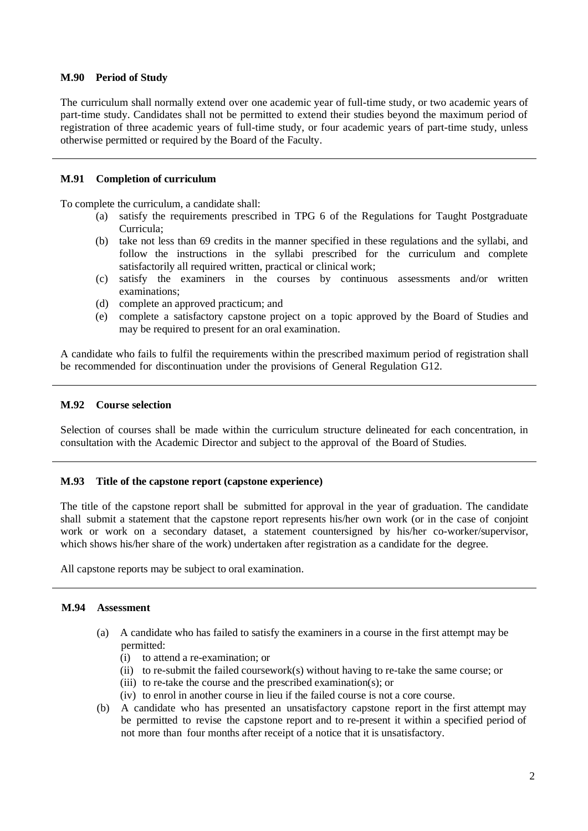### **M.90 Period of Study**

The curriculum shall normally extend over one academic year of full-time study, or two academic years of part-time study. Candidates shall not be permitted to extend their studies beyond the maximum period of registration of three academic years of full-time study, or four academic years of part-time study, unless otherwise permitted or required by the Board of the Faculty.

### **M.91 Completion of curriculum**

To complete the curriculum, a candidate shall:

- (a) satisfy the requirements prescribed in TPG 6 of the Regulations for Taught Postgraduate Curricula;
- (b) take not less than 69 credits in the manner specified in these regulations and the syllabi, and follow the instructions in the syllabi prescribed for the curriculum and complete satisfactorily all required written, practical or clinical work;
- (c) satisfy the examiners in the courses by continuous assessments and/or written examinations;
- (d) complete an approved practicum; and
- (e) complete a satisfactory capstone project on a topic approved by the Board of Studies and may be required to present for an oral examination.

A candidate who fails to fulfil the requirements within the prescribed maximum period of registration shall be recommended for discontinuation under the provisions of General Regulation G12.

### **M.92 Course selection**

Selection of courses shall be made within the curriculum structure delineated for each concentration, in consultation with the Academic Director and subject to the approval of the Board of Studies.

### **M.93 Title of the capstone report (capstone experience)**

The title of the capstone report shall be submitted for approval in the year of graduation. The candidate shall submit a statement that the capstone report represents his/her own work (or in the case of conjoint work or work on a secondary dataset, a statement countersigned by his/her co-worker/supervisor, which shows his/her share of the work) undertaken after registration as a candidate for the degree.

All capstone reports may be subject to oral examination.

### **M.94 Assessment**

- (a) A candidate who has failed to satisfy the examiners in a course in the first attempt may be permitted:
	- (i) to attend a re-examination; or
	- (ii) to re-submit the failed coursework(s) without having to re-take the same course; or
	- (iii) to re-take the course and the prescribed examination(s); or
	- (iv) to enrol in another course in lieu if the failed course is not a core course.
- (b) A candidate who has presented an unsatisfactory capstone report in the first attempt may be permitted to revise the capstone report and to re-present it within a specified period of not more than four months after receipt of a notice that it is unsatisfactory.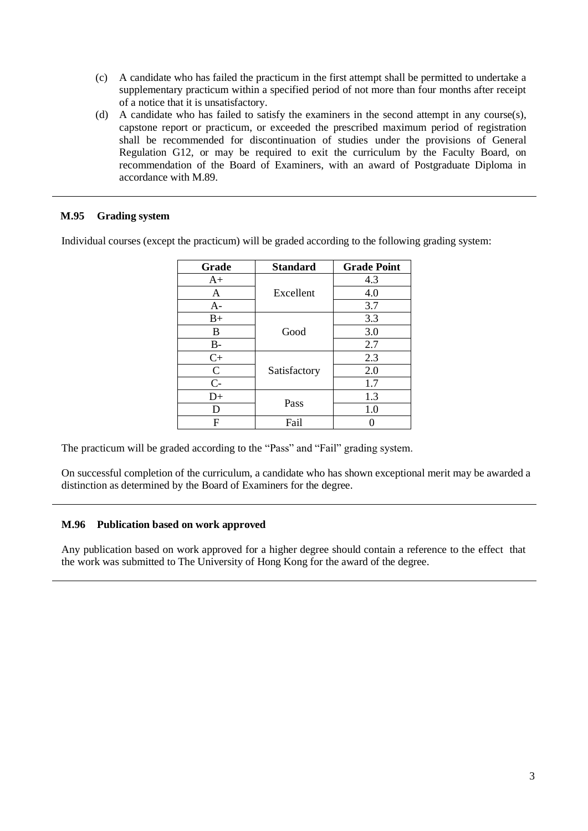- (c) A candidate who has failed the practicum in the first attempt shall be permitted to undertake a supplementary practicum within a specified period of not more than four months after receipt of a notice that it is unsatisfactory.
- (d) A candidate who has failed to satisfy the examiners in the second attempt in any course(s), capstone report or practicum, or exceeded the prescribed maximum period of registration shall be recommended for discontinuation of studies under the provisions of General Regulation G12, or may be required to exit the curriculum by the Faculty Board, on recommendation of the Board of Examiners, with an award of Postgraduate Diploma in accordance with M.89.

## **M.95 Grading system**

Individual courses (except the practicum) will be graded according to the following grading system:

| Grade         | <b>Standard</b> | <b>Grade Point</b> |
|---------------|-----------------|--------------------|
| $A+$          |                 | 4.3                |
| A             | Excellent       | 4.0                |
| $A-$          |                 | 3.7                |
| $B+$          |                 | 3.3                |
| B             | Good            | 3.0                |
| $B-$          |                 | 2.7                |
| $C+$          |                 | 2.3                |
| $\mathcal{C}$ | Satisfactory    | 2.0                |
| $C-$          |                 | 1.7                |
| D+            | Pass            | 1.3                |
| D             |                 | 1.0                |
| F             | Fail            |                    |

The practicum will be graded according to the "Pass" and "Fail" grading system.

On successful completion of the curriculum, a candidate who has shown exceptional merit may be awarded a distinction as determined by the Board of Examiners for the degree.

### **M.96 Publication based on work approved**

Any publication based on work approved for a higher degree should contain a reference to the effect that the work was submitted to The University of Hong Kong for the award of the degree.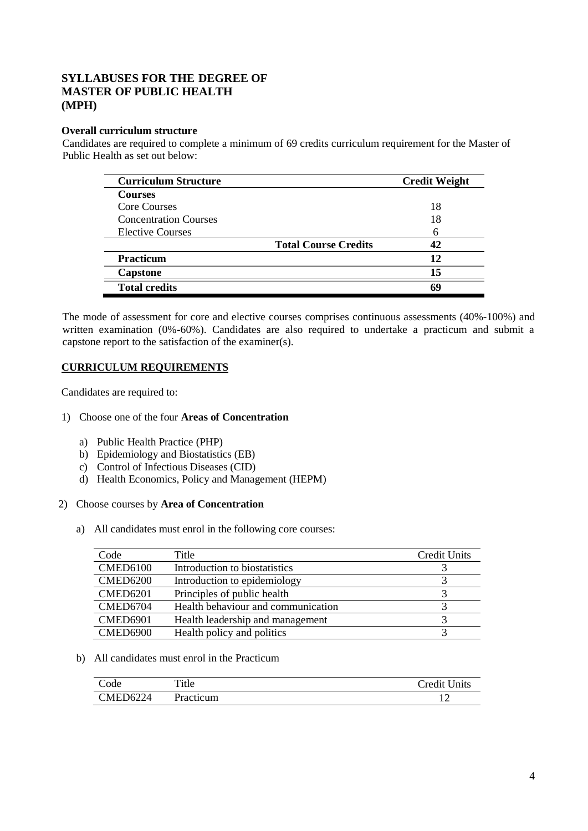# **SYLLABUSES FOR THE DEGREE OF MASTER OF PUBLIC HEALTH (MPH)**

## **Overall curriculum structure**

Candidates are required to complete a minimum of 69 credits curriculum requirement for the Master of Public Health as set out below:

| <b>Curriculum Structure</b>  | <b>Credit Weight</b>        |
|------------------------------|-----------------------------|
| <b>Courses</b>               |                             |
| Core Courses                 | 18                          |
| <b>Concentration Courses</b> | 18                          |
| <b>Elective Courses</b>      |                             |
|                              | <b>Total Course Credits</b> |
| <b>Practicum</b>             | 12                          |
| <b>Capstone</b>              | 15                          |
| <b>Total credits</b>         | 64                          |

The mode of assessment for core and elective courses comprises continuous assessments (40%-100%) and written examination (0%-60%). Candidates are also required to undertake a practicum and submit a capstone report to the satisfaction of the examiner(s).

## **CURRICULUM REQUIREMENTS**

Candidates are required to:

### 1) Choose one of the four **Areas of Concentration**

- a) Public Health Practice (PHP)
- b) Epidemiology and Biostatistics (EB)
- c) Control of Infectious Diseases (CID)
- d) Health Economics, Policy and Management (HEPM)

#### 2) Choose courses by **Area of Concentration**

a) All candidates must enrol in the following core courses:

| Code            | Title                              | Credit Units |
|-----------------|------------------------------------|--------------|
| <b>CMED6100</b> | Introduction to biostatistics      |              |
| <b>CMED6200</b> | Introduction to epidemiology       |              |
| <b>CMED6201</b> | Principles of public health        |              |
| CMED6704        | Health behaviour and communication |              |
| <b>CMED6901</b> | Health leadership and management   |              |
| <b>CMED6900</b> | Health policy and politics         |              |

### b) All candidates must enrol in the Practicum

| `ode     | Title     | <b>Credit Units</b> |
|----------|-----------|---------------------|
| CMED6224 | Practicum |                     |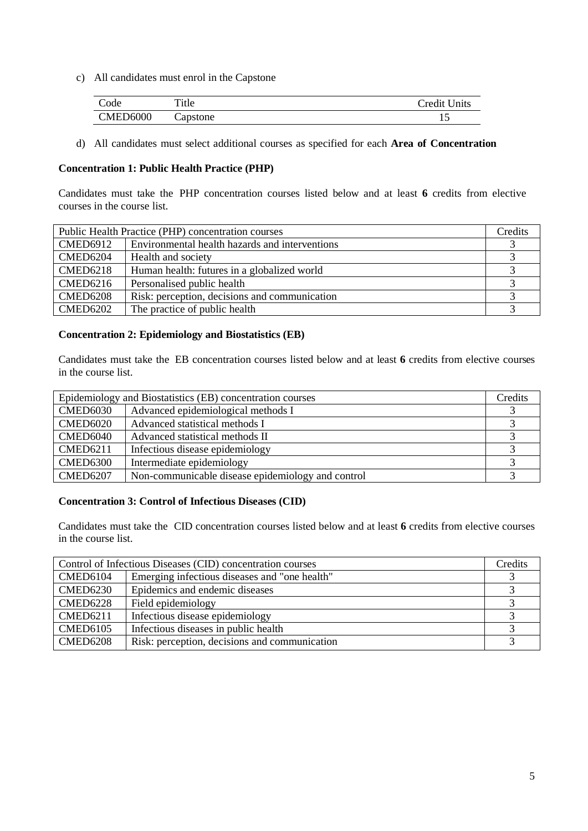c) All candidates must enrol in the Capstone

| Code            | Title    | Credit Units |
|-----------------|----------|--------------|
| <b>CMED6000</b> | Capstone | ⊥ ~          |

d) All candidates must select additional courses as specified for each **Area of Concentration**

## **Concentration 1: Public Health Practice (PHP)**

Candidates must take the PHP concentration courses listed below and at least **6** credits from elective courses in the course list.

| Public Health Practice (PHP) concentration courses |                                                | Credits |
|----------------------------------------------------|------------------------------------------------|---------|
| <b>CMED6912</b>                                    | Environmental health hazards and interventions |         |
| CMED6204                                           | Health and society                             |         |
| $\mathcal{C}$ MED6218                              | Human health: futures in a globalized world    |         |
| $\mid$ CMED6216                                    | Personalised public health                     |         |
| CMED6208                                           | Risk: perception, decisions and communication  |         |
| CMED6202                                           | The practice of public health                  |         |

## **Concentration 2: Epidemiology and Biostatistics (EB)**

Candidates must take the EB concentration courses listed below and at least **6** credits from elective courses in the course list.

| Epidemiology and Biostatistics (EB) concentration courses |                                                   | Credits |
|-----------------------------------------------------------|---------------------------------------------------|---------|
| <b>CMED6030</b>                                           | Advanced epidemiological methods I                |         |
| <b>CMED6020</b>                                           | Advanced statistical methods I                    |         |
| CMED6040                                                  | Advanced statistical methods II                   |         |
| <b>CMED6211</b>                                           | Infectious disease epidemiology                   |         |
| <b>CMED6300</b>                                           | Intermediate epidemiology                         |         |
| <b>CMED6207</b>                                           | Non-communicable disease epidemiology and control |         |

### **Concentration 3: Control of Infectious Diseases (CID)**

Candidates must take the CID concentration courses listed below and at least **6** credits from elective courses in the course list.

| Control of Infectious Diseases (CID) concentration courses |                                               | Credits |
|------------------------------------------------------------|-----------------------------------------------|---------|
| CMED6104                                                   | Emerging infectious diseases and "one health" |         |
| $\mathcal{C}$ MED6230                                      | Epidemics and endemic diseases                |         |
| CMED6228                                                   | Field epidemiology                            |         |
| $\text{CMED6211}$                                          | Infectious disease epidemiology               |         |
| CMED6105                                                   | Infectious diseases in public health.         |         |
| CMED6208                                                   | Risk: perception, decisions and communication |         |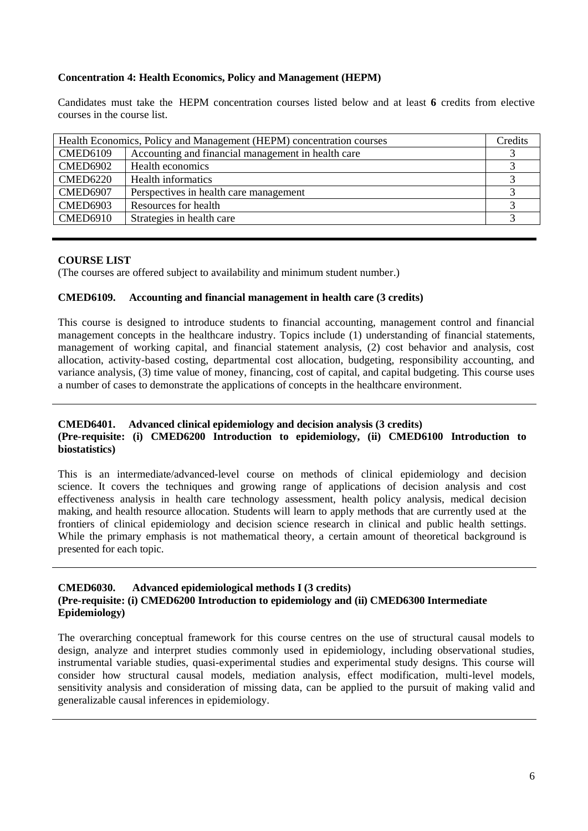## **Concentration 4: Health Economics, Policy and Management (HEPM)**

Candidates must take the HEPM concentration courses listed below and at least **6** credits from elective courses in the course list.

| Health Economics, Policy and Management (HEPM) concentration courses |                                                    | Credits |
|----------------------------------------------------------------------|----------------------------------------------------|---------|
| <b>CMED6109</b>                                                      | Accounting and financial management in health care |         |
| <b>CMED6902</b>                                                      | Health economics                                   |         |
| <b>CMED6220</b>                                                      | Health informatics                                 |         |
| CMED6907                                                             | Perspectives in health care management             |         |
| <b>CMED6903</b>                                                      | Resources for health                               |         |
| <b>CMED6910</b>                                                      | Strategies in health care                          |         |
|                                                                      |                                                    |         |

### **COURSE LIST**

(The courses are offered subject to availability and minimum student number.)

## **CMED6109. Accounting and financial management in health care (3 credits)**

This course is designed to introduce students to financial accounting, management control and financial management concepts in the healthcare industry. Topics include (1) understanding of financial statements, management of working capital, and financial statement analysis, (2) cost behavior and analysis, cost allocation, activity-based costing, departmental cost allocation, budgeting, responsibility accounting, and variance analysis, (3) time value of money, financing, cost of capital, and capital budgeting. This course uses a number of cases to demonstrate the applications of concepts in the healthcare environment.

### **CMED6401. Advanced clinical epidemiology and decision analysis (3 credits) (Pre-requisite: (i) CMED6200 Introduction to epidemiology, (ii) CMED6100 Introduction to biostatistics)**

This is an intermediate/advanced-level course on methods of clinical epidemiology and decision science. It covers the techniques and growing range of applications of decision analysis and cost effectiveness analysis in health care technology assessment, health policy analysis, medical decision making, and health resource allocation. Students will learn to apply methods that are currently used at the frontiers of clinical epidemiology and decision science research in clinical and public health settings. While the primary emphasis is not mathematical theory, a certain amount of theoretical background is presented for each topic.

## **CMED6030. Advanced epidemiological methods I (3 credits) (Pre-requisite: (i) CMED6200 Introduction to epidemiology and (ii) CMED6300 Intermediate Epidemiology)**

The overarching conceptual framework for this course centres on the use of structural causal models to design, analyze and interpret studies commonly used in epidemiology, including observational studies, instrumental variable studies, quasi-experimental studies and experimental study designs. This course will consider how structural causal models, mediation analysis, effect modification, multi-level models, sensitivity analysis and consideration of missing data, can be applied to the pursuit of making valid and generalizable causal inferences in epidemiology.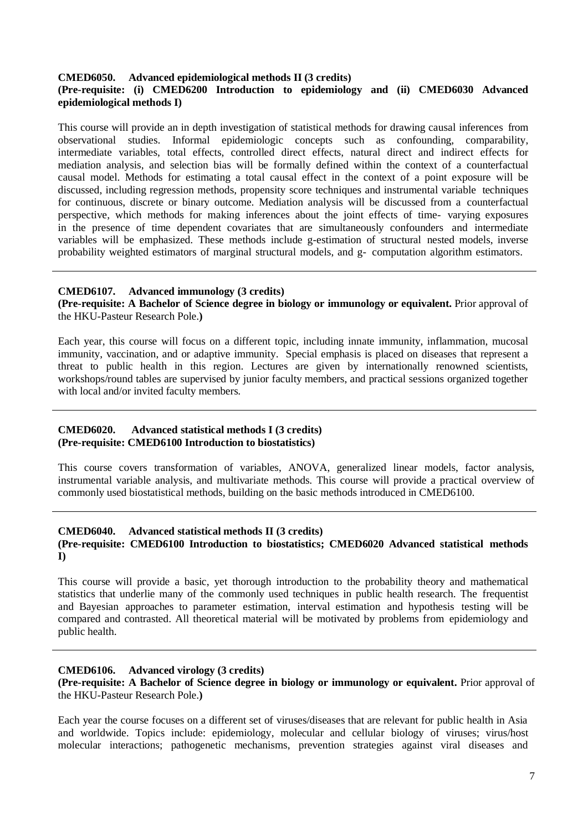#### **CMED6050. Advanced epidemiological methods II (3 credits)**

### **(Pre-requisite: (i) CMED6200 Introduction to epidemiology and (ii) CMED6030 Advanced epidemiological methods I)**

This course will provide an in depth investigation of statistical methods for drawing causal inferences from observational studies. Informal epidemiologic concepts such as confounding, comparability, intermediate variables, total effects, controlled direct effects, natural direct and indirect effects for mediation analysis, and selection bias will be formally defined within the context of a counterfactual causal model. Methods for estimating a total causal effect in the context of a point exposure will be discussed, including regression methods, propensity score techniques and instrumental variable techniques for continuous, discrete or binary outcome. Mediation analysis will be discussed from a counterfactual perspective, which methods for making inferences about the joint effects of time- varying exposures in the presence of time dependent covariates that are simultaneously confounders and intermediate variables will be emphasized. These methods include g-estimation of structural nested models, inverse probability weighted estimators of marginal structural models, and g- computation algorithm estimators.

#### **CMED6107. Advanced immunology (3 credits)**

**(Pre-requisite: A Bachelor of Science degree in biology or immunology or equivalent.** Prior approval of the HKU-Pasteur Research Pole.**)**

Each year, this course will focus on a different topic, including innate immunity, inflammation, mucosal immunity, vaccination, and or adaptive immunity. Special emphasis is placed on diseases that represent a threat to public health in this region. Lectures are given by internationally renowned scientists, workshops/round tables are supervised by junior faculty members, and practical sessions organized together with local and/or invited faculty members.

### **CMED6020. Advanced statistical methods I (3 credits) (Pre-requisite: CMED6100 Introduction to biostatistics)**

This course covers transformation of variables, ANOVA, generalized linear models, factor analysis, instrumental variable analysis, and multivariate methods. This course will provide a practical overview of commonly used biostatistical methods, building on the basic methods introduced in CMED6100.

#### **CMED6040. Advanced statistical methods II (3 credits) (Pre-requisite: CMED6100 Introduction to biostatistics; CMED6020 Advanced statistical methods I)**

This course will provide a basic, yet thorough introduction to the probability theory and mathematical statistics that underlie many of the commonly used techniques in public health research. The frequentist and Bayesian approaches to parameter estimation, interval estimation and hypothesis testing will be compared and contrasted. All theoretical material will be motivated by problems from epidemiology and public health.

### **CMED6106. Advanced virology (3 credits)**

**(Pre-requisite: A Bachelor of Science degree in biology or immunology or equivalent.** Prior approval of the HKU-Pasteur Research Pole.**)**

Each year the course focuses on a different set of viruses/diseases that are relevant for public health in Asia and worldwide. Topics include: epidemiology, molecular and cellular biology of viruses; virus/host molecular interactions; pathogenetic mechanisms, prevention strategies against viral diseases and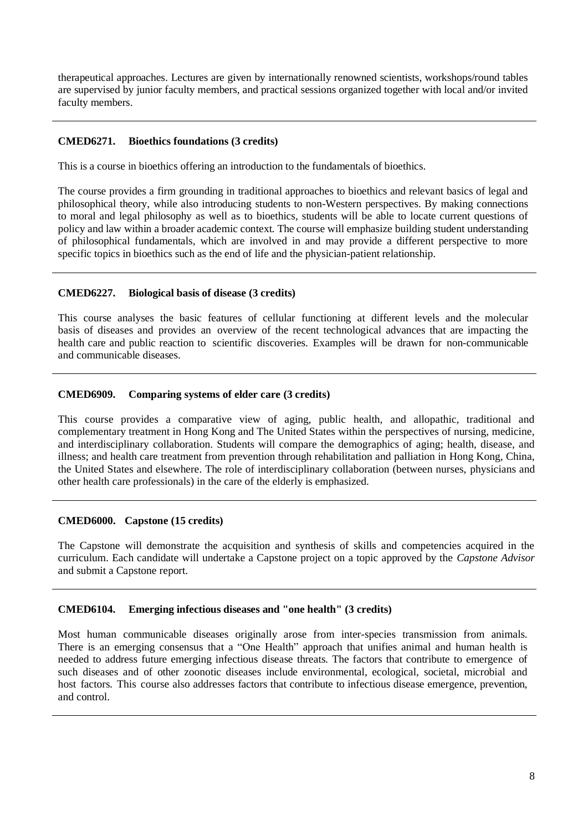therapeutical approaches. Lectures are given by internationally renowned scientists, workshops/round tables are supervised by junior faculty members, and practical sessions organized together with local and/or invited faculty members.

## **CMED6271. Bioethics foundations (3 credits)**

This is a course in bioethics offering an introduction to the fundamentals of bioethics.

The course provides a firm grounding in traditional approaches to bioethics and relevant basics of legal and philosophical theory, while also introducing students to non-Western perspectives. By making connections to moral and legal philosophy as well as to bioethics, students will be able to locate current questions of policy and law within a broader academic context. The course will emphasize building student understanding of philosophical fundamentals, which are involved in and may provide a different perspective to more specific topics in bioethics such as the end of life and the physician-patient relationship.

## **CMED6227. Biological basis of disease (3 credits)**

This course analyses the basic features of cellular functioning at different levels and the molecular basis of diseases and provides an overview of the recent technological advances that are impacting the health care and public reaction to scientific discoveries. Examples will be drawn for non-communicable and communicable diseases.

## **CMED6909. Comparing systems of elder care (3 credits)**

This course provides a comparative view of aging, public health, and allopathic, traditional and complementary treatment in Hong Kong and The United States within the perspectives of nursing, medicine, and interdisciplinary collaboration. Students will compare the demographics of aging; health, disease, and illness; and health care treatment from prevention through rehabilitation and palliation in Hong Kong, China, the United States and elsewhere. The role of interdisciplinary collaboration (between nurses, physicians and other health care professionals) in the care of the elderly is emphasized.

### **CMED6000. Capstone (15 credits)**

The Capstone will demonstrate the acquisition and synthesis of skills and competencies acquired in the curriculum. Each candidate will undertake a Capstone project on a topic approved by the *Capstone Advisor* and submit a Capstone report.

### **CMED6104. Emerging infectious diseases and "one health" (3 credits)**

Most human communicable diseases originally arose from inter-species transmission from animals. There is an emerging consensus that a "One Health" approach that unifies animal and human health is needed to address future emerging infectious disease threats. The factors that contribute to emergence of such diseases and of other zoonotic diseases include environmental, ecological, societal, microbial and host factors. This course also addresses factors that contribute to infectious disease emergence, prevention, and control.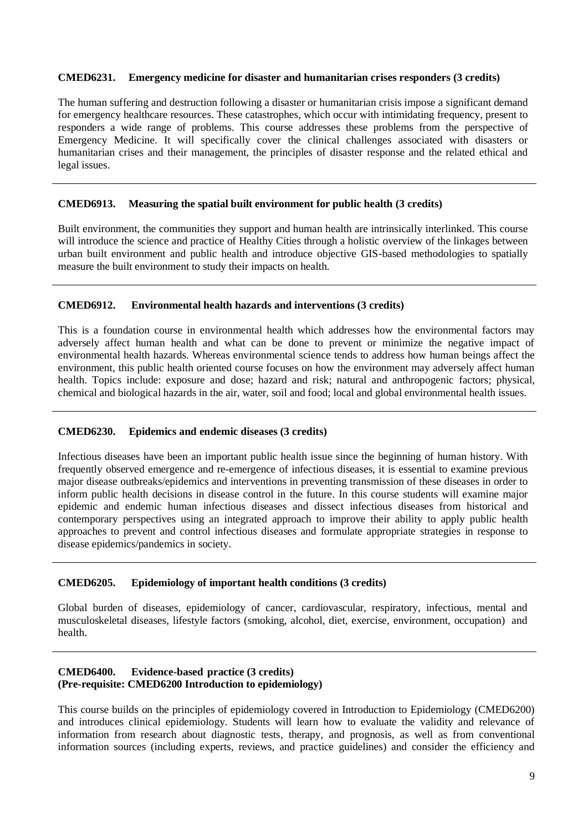#### **CMED6231. Emergency medicine for disaster and humanitarian crises responders (3 credits)**

The human suffering and destruction following a disaster or humanitarian crisis impose a significant demand for emergency healthcare resources. These catastrophes, which occur with intimidating frequency, present to responders a wide range of problems. This course addresses these problems from the perspective of Emergency Medicine. It will specifically cover the clinical challenges associated with disasters or humanitarian crises and their management, the principles of disaster response and the related ethical and legal issues.

#### **CMED6913. Measuring the spatial built environment for public health (3 credits)**

Built environment, the communities they support and human health are intrinsically interlinked. This course will introduce the science and practice of Healthy Cities through a holistic overview of the linkages between urban built environment and public health and introduce objective GIS-based methodologies to spatially measure the built environment to study their impacts on health.

### **CMED6912. Environmental health hazards and interventions (3 credits)**

This is a foundation course in environmental health which addresses how the environmental factors may adversely affect human health and what can be done to prevent or minimize the negative impact of environmental health hazards. Whereas environmental science tends to address how human beings affect the environment, this public health oriented course focuses on how the environment may adversely affect human health. Topics include: exposure and dose; hazard and risk; natural and anthropogenic factors; physical, chemical and biological hazards in the air, water, soil and food; local and global environmental health issues.

### **CMED6230. Epidemics and endemic diseases (3 credits)**

Infectious diseases have been an important public health issue since the beginning of human history. With frequently observed emergence and re-emergence of infectious diseases, it is essential to examine previous major disease outbreaks/epidemics and interventions in preventing transmission of these diseases in order to inform public health decisions in disease control in the future. In this course students will examine major epidemic and endemic human infectious diseases and dissect infectious diseases from historical and contemporary perspectives using an integrated approach to improve their ability to apply public health approaches to prevent and control infectious diseases and formulate appropriate strategies in response to disease epidemics/pandemics in society.

### **CMED6205. Epidemiology of important health conditions (3 credits)**

Global burden of diseases, epidemiology of cancer, cardiovascular, respiratory, infectious, mental and musculoskeletal diseases, lifestyle factors (smoking, alcohol, diet, exercise, environment, occupation) and health.

### **CMED6400. Evidence-based practice (3 credits) (Pre-requisite: CMED6200 Introduction to epidemiology)**

This course builds on the principles of epidemiology covered in Introduction to Epidemiology (CMED6200) and introduces clinical epidemiology. Students will learn how to evaluate the validity and relevance of information from research about diagnostic tests, therapy, and prognosis, as well as from conventional information sources (including experts, reviews, and practice guidelines) and consider the efficiency and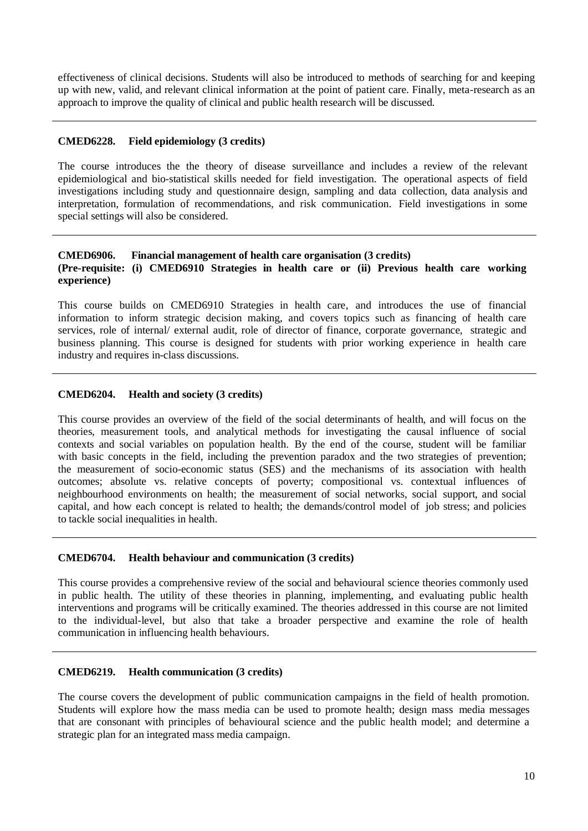effectiveness of clinical decisions. Students will also be introduced to methods of searching for and keeping up with new, valid, and relevant clinical information at the point of patient care. Finally, meta-research as an approach to improve the quality of clinical and public health research will be discussed.

### **CMED6228. Field epidemiology (3 credits)**

The course introduces the the theory of disease surveillance and includes a review of the relevant epidemiological and bio-statistical skills needed for field investigation. The operational aspects of field investigations including study and questionnaire design, sampling and data collection, data analysis and interpretation, formulation of recommendations, and risk communication. Field investigations in some special settings will also be considered.

### **CMED6906. Financial management of health care organisation (3 credits) (Pre-requisite: (i) CMED6910 Strategies in health care or (ii) Previous health care working experience)**

This course builds on CMED6910 Strategies in health care, and introduces the use of financial information to inform strategic decision making, and covers topics such as financing of health care services, role of internal/ external audit, role of director of finance, corporate governance, strategic and business planning. This course is designed for students with prior working experience in health care industry and requires in-class discussions.

## **CMED6204. Health and society (3 credits)**

This course provides an overview of the field of the social determinants of health, and will focus on the theories, measurement tools, and analytical methods for investigating the causal influence of social contexts and social variables on population health. By the end of the course, student will be familiar with basic concepts in the field, including the prevention paradox and the two strategies of prevention; the measurement of socio-economic status (SES) and the mechanisms of its association with health outcomes; absolute vs. relative concepts of poverty; compositional vs. contextual influences of neighbourhood environments on health; the measurement of social networks, social support, and social capital, and how each concept is related to health; the demands/control model of job stress; and policies to tackle social inequalities in health.

### **CMED6704. Health behaviour and communication (3 credits)**

This course provides a comprehensive review of the social and behavioural science theories commonly used in public health. The utility of these theories in planning, implementing, and evaluating public health interventions and programs will be critically examined. The theories addressed in this course are not limited to the individual-level, but also that take a broader perspective and examine the role of health communication in influencing health behaviours.

## **CMED6219. Health communication (3 credits)**

The course covers the development of public communication campaigns in the field of health promotion. Students will explore how the mass media can be used to promote health; design mass media messages that are consonant with principles of behavioural science and the public health model; and determine a strategic plan for an integrated mass media campaign.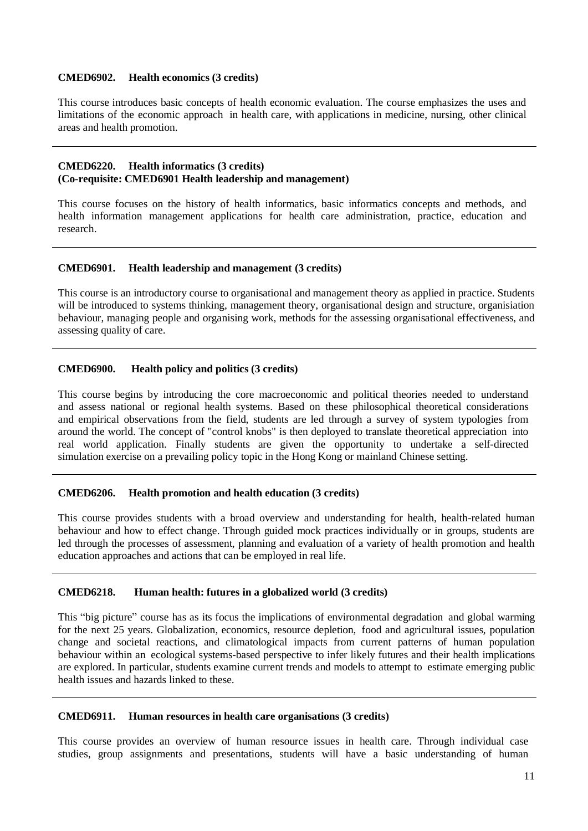#### **CMED6902. Health economics (3 credits)**

This course introduces basic concepts of health economic evaluation. The course emphasizes the uses and limitations of the economic approach in health care, with applications in medicine, nursing, other clinical areas and health promotion.

#### **CMED6220. Health informatics (3 credits) (Co-requisite: CMED6901 Health leadership and management)**

This course focuses on the history of health informatics, basic informatics concepts and methods, and health information management applications for health care administration, practice, education and research.

#### **CMED6901. Health leadership and management (3 credits)**

This course is an introductory course to organisational and management theory as applied in practice. Students will be introduced to systems thinking, management theory, organisational design and structure, organisiation behaviour, managing people and organising work, methods for the assessing organisational effectiveness, and assessing quality of care.

### **CMED6900. Health policy and politics (3 credits)**

This course begins by introducing the core macroeconomic and political theories needed to understand and assess national or regional health systems. Based on these philosophical theoretical considerations and empirical observations from the field, students are led through a survey of system typologies from around the world. The concept of "control knobs" is then deployed to translate theoretical appreciation into real world application. Finally students are given the opportunity to undertake a self-directed simulation exercise on a prevailing policy topic in the Hong Kong or mainland Chinese setting.

### **CMED6206. Health promotion and health education (3 credits)**

This course provides students with a broad overview and understanding for health, health-related human behaviour and how to effect change. Through guided mock practices individually or in groups, students are led through the processes of assessment, planning and evaluation of a variety of health promotion and health education approaches and actions that can be employed in real life.

### **CMED6218. Human health: futures in a globalized world (3 credits)**

This "big picture" course has as its focus the implications of environmental degradation and global warming for the next 25 years. Globalization, economics, resource depletion, food and agricultural issues, population change and societal reactions, and climatological impacts from current patterns of human population behaviour within an ecological systems-based perspective to infer likely futures and their health implications are explored. In particular, students examine current trends and models to attempt to estimate emerging public health issues and hazards linked to these.

#### **CMED6911. Human resources in health care organisations (3 credits)**

This course provides an overview of human resource issues in health care. Through individual case studies, group assignments and presentations, students will have a basic understanding of human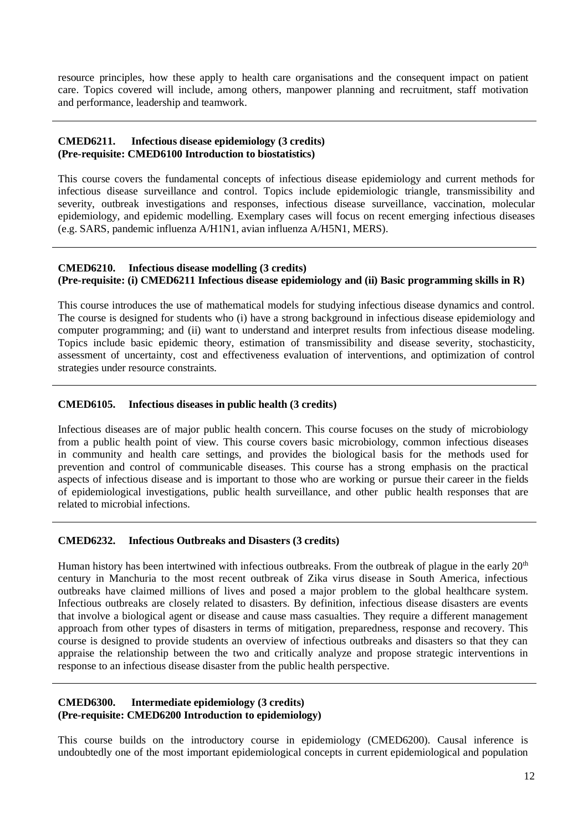resource principles, how these apply to health care organisations and the consequent impact on patient care. Topics covered will include, among others, manpower planning and recruitment, staff motivation and performance, leadership and teamwork.

### **CMED6211. Infectious disease epidemiology (3 credits) (Pre-requisite: CMED6100 Introduction to biostatistics)**

This course covers the fundamental concepts of infectious disease epidemiology and current methods for infectious disease surveillance and control. Topics include epidemiologic triangle, transmissibility and severity, outbreak investigations and responses, infectious disease surveillance, vaccination, molecular epidemiology, and epidemic modelling. Exemplary cases will focus on recent emerging infectious diseases (e.g. SARS, pandemic influenza A/H1N1, avian influenza A/H5N1, MERS).

### **CMED6210. Infectious disease modelling (3 credits) (Pre-requisite: (i) CMED6211 Infectious disease epidemiology and (ii) Basic programming skills in R)**

This course introduces the use of mathematical models for studying infectious disease dynamics and control. The course is designed for students who (i) have a strong background in infectious disease epidemiology and computer programming; and (ii) want to understand and interpret results from infectious disease modeling. Topics include basic epidemic theory, estimation of transmissibility and disease severity, stochasticity, assessment of uncertainty, cost and effectiveness evaluation of interventions, and optimization of control strategies under resource constraints.

## **CMED6105. Infectious diseases in public health (3 credits)**

Infectious diseases are of major public health concern. This course focuses on the study of microbiology from a public health point of view. This course covers basic microbiology, common infectious diseases in community and health care settings, and provides the biological basis for the methods used for prevention and control of communicable diseases. This course has a strong emphasis on the practical aspects of infectious disease and is important to those who are working or pursue their career in the fields of epidemiological investigations, public health surveillance, and other public health responses that are related to microbial infections.

### **CMED6232. Infectious Outbreaks and Disasters (3 credits)**

Human history has been intertwined with infectious outbreaks. From the outbreak of plague in the early 20<sup>th</sup> century in Manchuria to the most recent outbreak of Zika virus disease in South America, infectious outbreaks have claimed millions of lives and posed a major problem to the global healthcare system. Infectious outbreaks are closely related to disasters. By definition, infectious disease disasters are events that involve a biological agent or disease and cause mass casualties. They require a different management approach from other types of disasters in terms of mitigation, preparedness, response and recovery. This course is designed to provide students an overview of infectious outbreaks and disasters so that they can appraise the relationship between the two and critically analyze and propose strategic interventions in response to an infectious disease disaster from the public health perspective.

### **CMED6300. Intermediate epidemiology (3 credits) (Pre-requisite: CMED6200 Introduction to epidemiology)**

This course builds on the introductory course in epidemiology (CMED6200). Causal inference is undoubtedly one of the most important epidemiological concepts in current epidemiological and population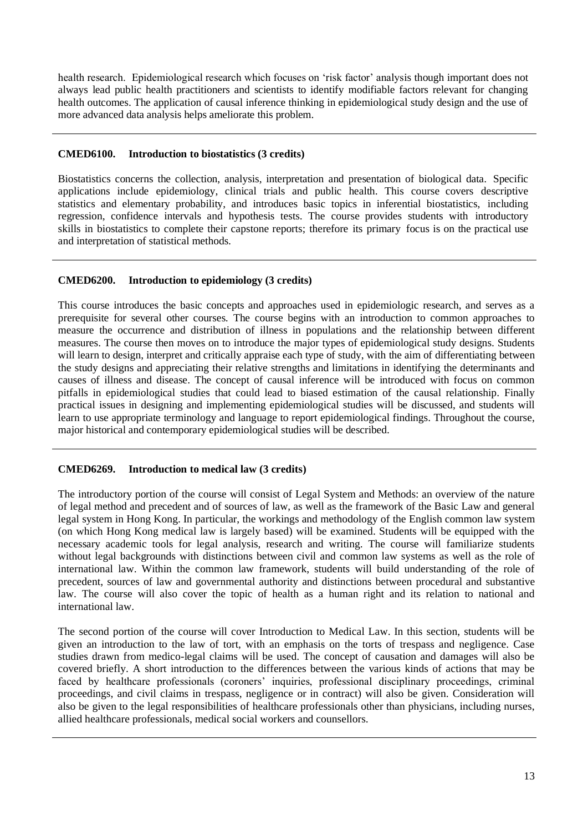health research. Epidemiological research which focuses on 'risk factor' analysis though important does not always lead public health practitioners and scientists to identify modifiable factors relevant for changing health outcomes. The application of causal inference thinking in epidemiological study design and the use of more advanced data analysis helps ameliorate this problem.

## **CMED6100. Introduction to biostatistics (3 credits)**

Biostatistics concerns the collection, analysis, interpretation and presentation of biological data. Specific applications include epidemiology, clinical trials and public health. This course covers descriptive statistics and elementary probability, and introduces basic topics in inferential biostatistics, including regression, confidence intervals and hypothesis tests. The course provides students with introductory skills in biostatistics to complete their capstone reports; therefore its primary focus is on the practical use and interpretation of statistical methods.

## **CMED6200. Introduction to epidemiology (3 credits)**

This course introduces the basic concepts and approaches used in epidemiologic research, and serves as a prerequisite for several other courses. The course begins with an introduction to common approaches to measure the occurrence and distribution of illness in populations and the relationship between different measures. The course then moves on to introduce the major types of epidemiological study designs. Students will learn to design, interpret and critically appraise each type of study, with the aim of differentiating between the study designs and appreciating their relative strengths and limitations in identifying the determinants and causes of illness and disease. The concept of causal inference will be introduced with focus on common pitfalls in epidemiological studies that could lead to biased estimation of the causal relationship. Finally practical issues in designing and implementing epidemiological studies will be discussed, and students will learn to use appropriate terminology and language to report epidemiological findings. Throughout the course, major historical and contemporary epidemiological studies will be described.

### **CMED6269. Introduction to medical law (3 credits)**

The introductory portion of the course will consist of Legal System and Methods: an overview of the nature of legal method and precedent and of sources of law, as well as the framework of the Basic Law and general legal system in Hong Kong. In particular, the workings and methodology of the English common law system (on which Hong Kong medical law is largely based) will be examined. Students will be equipped with the necessary academic tools for legal analysis, research and writing. The course will familiarize students without legal backgrounds with distinctions between civil and common law systems as well as the role of international law. Within the common law framework, students will build understanding of the role of precedent, sources of law and governmental authority and distinctions between procedural and substantive law. The course will also cover the topic of health as a human right and its relation to national and international law.

The second portion of the course will cover Introduction to Medical Law. In this section, students will be given an introduction to the law of tort, with an emphasis on the torts of trespass and negligence. Case studies drawn from medico-legal claims will be used. The concept of causation and damages will also be covered briefly. A short introduction to the differences between the various kinds of actions that may be faced by healthcare professionals (coroners' inquiries, professional disciplinary proceedings, criminal proceedings, and civil claims in trespass, negligence or in contract) will also be given. Consideration will also be given to the legal responsibilities of healthcare professionals other than physicians, including nurses, allied healthcare professionals, medical social workers and counsellors.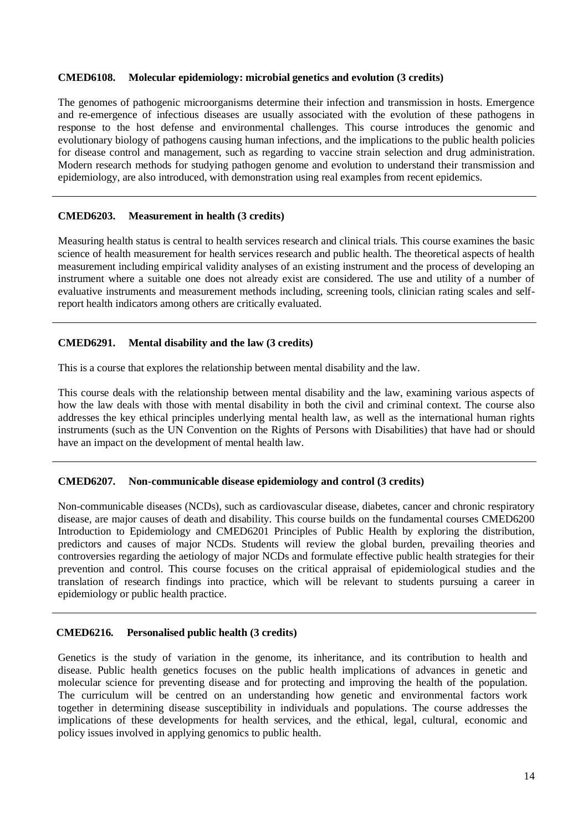### **CMED6108. Molecular epidemiology: microbial genetics and evolution (3 credits)**

The genomes of pathogenic microorganisms determine their infection and transmission in hosts. Emergence and re-emergence of infectious diseases are usually associated with the evolution of these pathogens in response to the host defense and environmental challenges. This course introduces the genomic and evolutionary biology of pathogens causing human infections, and the implications to the public health policies for disease control and management, such as regarding to vaccine strain selection and drug administration. Modern research methods for studying pathogen genome and evolution to understand their transmission and epidemiology, are also introduced, with demonstration using real examples from recent epidemics.

### **CMED6203. Measurement in health (3 credits)**

Measuring health status is central to health services research and clinical trials. This course examines the basic science of health measurement for health services research and public health. The theoretical aspects of health measurement including empirical validity analyses of an existing instrument and the process of developing an instrument where a suitable one does not already exist are considered. The use and utility of a number of evaluative instruments and measurement methods including, screening tools, clinician rating scales and selfreport health indicators among others are critically evaluated.

## **CMED6291. Mental disability and the law (3 credits)**

This is a course that explores the relationship between mental disability and the law.

This course deals with the relationship between mental disability and the law, examining various aspects of how the law deals with those with mental disability in both the civil and criminal context. The course also addresses the key ethical principles underlying mental health law, as well as the international human rights instruments (such as the UN Convention on the Rights of Persons with Disabilities) that have had or should have an impact on the development of mental health law.

### **CMED6207. Non-communicable disease epidemiology and control (3 credits)**

Non-communicable diseases (NCDs), such as cardiovascular disease, diabetes, cancer and chronic respiratory disease, are major causes of death and disability. This course builds on the fundamental courses CMED6200 Introduction to Epidemiology and CMED6201 Principles of Public Health by exploring the distribution, predictors and causes of major NCDs. Students will review the global burden, prevailing theories and controversies regarding the aetiology of major NCDs and formulate effective public health strategies for their prevention and control. This course focuses on the critical appraisal of epidemiological studies and the translation of research findings into practice, which will be relevant to students pursuing a career in epidemiology or public health practice.

### **CMED6216. Personalised public health (3 credits)**

Genetics is the study of variation in the genome, its inheritance, and its contribution to health and disease. Public health genetics focuses on the public health implications of advances in genetic and molecular science for preventing disease and for protecting and improving the health of the population. The curriculum will be centred on an understanding how genetic and environmental factors work together in determining disease susceptibility in individuals and populations. The course addresses the implications of these developments for health services, and the ethical, legal, cultural, economic and policy issues involved in applying genomics to public health.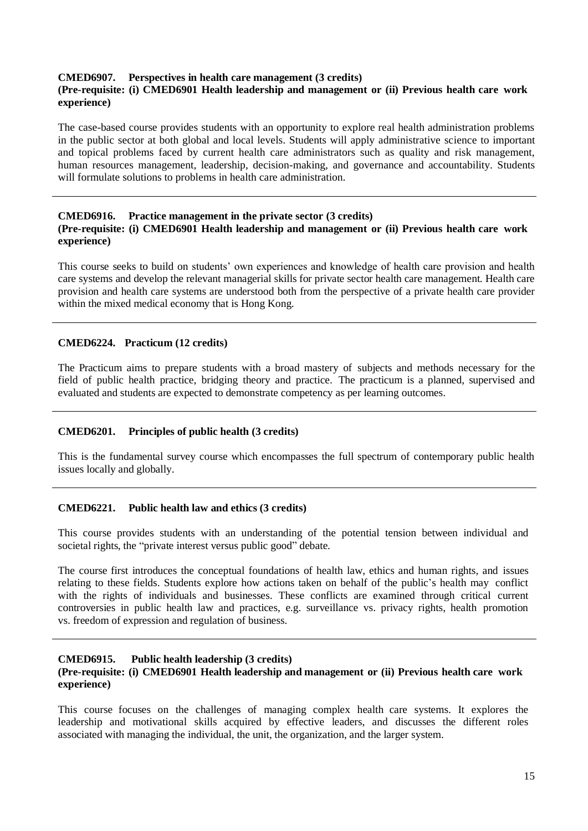### **CMED6907. Perspectives in health care management (3 credits)**

### **(Pre-requisite: (i) CMED6901 Health leadership and management or (ii) Previous health care work experience)**

The case-based course provides students with an opportunity to explore real health administration problems in the public sector at both global and local levels. Students will apply administrative science to important and topical problems faced by current health care administrators such as quality and risk management, human resources management, leadership, decision-making, and governance and accountability. Students will formulate solutions to problems in health care administration.

### **CMED6916. Practice management in the private sector (3 credits) (Pre-requisite: (i) CMED6901 Health leadership and management or (ii) Previous health care work experience)**

This course seeks to build on students' own experiences and knowledge of health care provision and health care systems and develop the relevant managerial skills for private sector health care management. Health care provision and health care systems are understood both from the perspective of a private health care provider within the mixed medical economy that is Hong Kong.

#### **CMED6224. Practicum (12 credits)**

The Practicum aims to prepare students with a broad mastery of subjects and methods necessary for the field of public health practice, bridging theory and practice. The practicum is a planned, supervised and evaluated and students are expected to demonstrate competency as per learning outcomes.

### **CMED6201. Principles of public health (3 credits)**

This is the fundamental survey course which encompasses the full spectrum of contemporary public health issues locally and globally.

### **CMED6221. Public health law and ethics (3 credits)**

This course provides students with an understanding of the potential tension between individual and societal rights, the "private interest versus public good" debate.

The course first introduces the conceptual foundations of health law, ethics and human rights, and issues relating to these fields. Students explore how actions taken on behalf of the public's health may conflict with the rights of individuals and businesses. These conflicts are examined through critical current controversies in public health law and practices, e.g. surveillance vs. privacy rights, health promotion vs. freedom of expression and regulation of business.

#### **CMED6915. Public health leadership (3 credits) (Pre-requisite: (i) CMED6901 Health leadership and management or (ii) Previous health care work experience)**

This course focuses on the challenges of managing complex health care systems. It explores the leadership and motivational skills acquired by effective leaders, and discusses the different roles associated with managing the individual, the unit, the organization, and the larger system.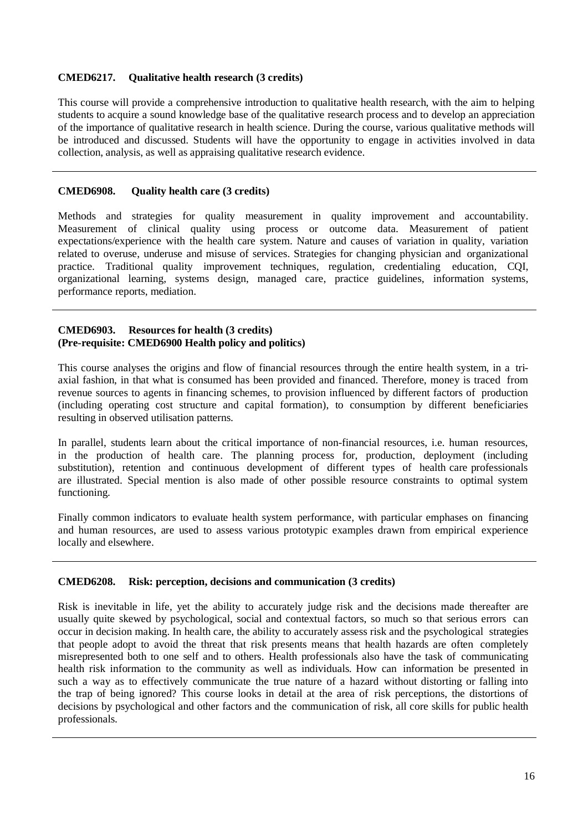## **CMED6217. Qualitative health research (3 credits)**

This course will provide a comprehensive introduction to qualitative health research, with the aim to helping students to acquire a sound knowledge base of the qualitative research process and to develop an appreciation of the importance of qualitative research in health science. During the course, various qualitative methods will be introduced and discussed. Students will have the opportunity to engage in activities involved in data collection, analysis, as well as appraising qualitative research evidence.

### **CMED6908. Quality health care (3 credits)**

Methods and strategies for quality measurement in quality improvement and accountability. Measurement of clinical quality using process or outcome data. Measurement of patient expectations/experience with the health care system. Nature and causes of variation in quality, variation related to overuse, underuse and misuse of services. Strategies for changing physician and organizational practice. Traditional quality improvement techniques, regulation, credentialing education, CQI, organizational learning, systems design, managed care, practice guidelines, information systems, performance reports, mediation.

### **CMED6903. Resources for health (3 credits) (Pre-requisite: CMED6900 Health policy and politics)**

This course analyses the origins and flow of financial resources through the entire health system, in a triaxial fashion, in that what is consumed has been provided and financed. Therefore, money is traced from revenue sources to agents in financing schemes, to provision influenced by different factors of production (including operating cost structure and capital formation), to consumption by different beneficiaries resulting in observed utilisation patterns.

In parallel, students learn about the critical importance of non-financial resources, i.e. human resources, in the production of health care. The planning process for, production, deployment (including substitution), retention and continuous development of different types of health care professionals are illustrated. Special mention is also made of other possible resource constraints to optimal system functioning.

Finally common indicators to evaluate health system performance, with particular emphases on financing and human resources, are used to assess various prototypic examples drawn from empirical experience locally and elsewhere.

### **CMED6208. Risk: perception, decisions and communication (3 credits)**

Risk is inevitable in life, yet the ability to accurately judge risk and the decisions made thereafter are usually quite skewed by psychological, social and contextual factors, so much so that serious errors can occur in decision making. In health care, the ability to accurately assess risk and the psychological strategies that people adopt to avoid the threat that risk presents means that health hazards are often completely misrepresented both to one self and to others. Health professionals also have the task of communicating health risk information to the community as well as individuals. How can information be presented in such a way as to effectively communicate the true nature of a hazard without distorting or falling into the trap of being ignored? This course looks in detail at the area of risk perceptions, the distortions of decisions by psychological and other factors and the communication of risk, all core skills for public health professionals.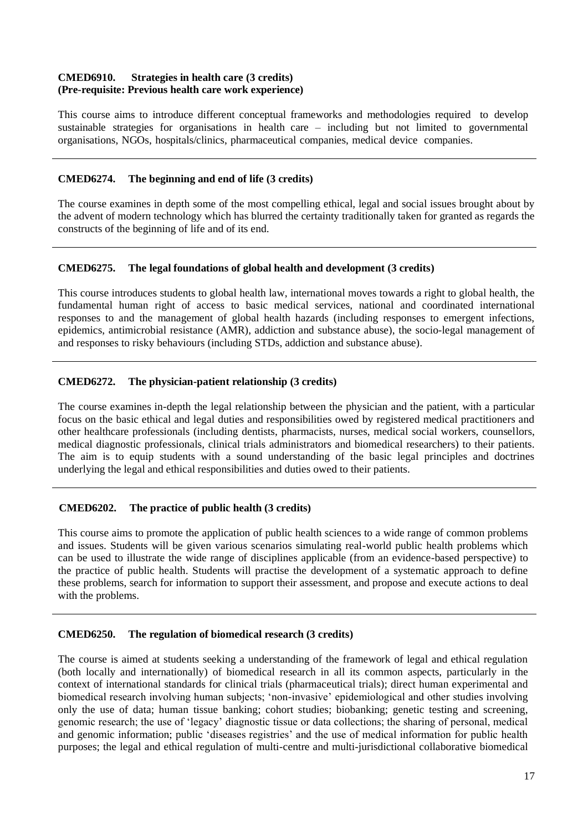## **CMED6910. Strategies in health care (3 credits) (Pre-requisite: Previous health care work experience)**

This course aims to introduce different conceptual frameworks and methodologies required to develop sustainable strategies for organisations in health care – including but not limited to governmental organisations, NGOs, hospitals/clinics, pharmaceutical companies, medical device companies.

### **CMED6274. The beginning and end of life (3 credits)**

The course examines in depth some of the most compelling ethical, legal and social issues brought about by the advent of modern technology which has blurred the certainty traditionally taken for granted as regards the constructs of the beginning of life and of its end.

## **CMED6275. The legal foundations of global health and development (3 credits)**

This course introduces students to global health law, international moves towards a right to global health, the fundamental human right of access to basic medical services, national and coordinated international responses to and the management of global health hazards (including responses to emergent infections, epidemics, antimicrobial resistance (AMR), addiction and substance abuse), the socio-legal management of and responses to risky behaviours (including STDs, addiction and substance abuse).

## **CMED6272. The physician-patient relationship (3 credits)**

The course examines in-depth the legal relationship between the physician and the patient, with a particular focus on the basic ethical and legal duties and responsibilities owed by registered medical practitioners and other healthcare professionals (including dentists, pharmacists, nurses, medical social workers, counsellors, medical diagnostic professionals, clinical trials administrators and biomedical researchers) to their patients. The aim is to equip students with a sound understanding of the basic legal principles and doctrines underlying the legal and ethical responsibilities and duties owed to their patients.

## **CMED6202. The practice of public health (3 credits)**

This course aims to promote the application of public health sciences to a wide range of common problems and issues. Students will be given various scenarios simulating real-world public health problems which can be used to illustrate the wide range of disciplines applicable (from an evidence-based perspective) to the practice of public health. Students will practise the development of a systematic approach to define these problems, search for information to support their assessment, and propose and execute actions to deal with the problems.

### **CMED6250. The regulation of biomedical research (3 credits)**

The course is aimed at students seeking a understanding of the framework of legal and ethical regulation (both locally and internationally) of biomedical research in all its common aspects, particularly in the context of international standards for clinical trials (pharmaceutical trials); direct human experimental and biomedical research involving human subjects; 'non-invasive' epidemiological and other studies involving only the use of data; human tissue banking; cohort studies; biobanking; genetic testing and screening, genomic research; the use of 'legacy' diagnostic tissue or data collections; the sharing of personal, medical and genomic information; public 'diseases registries' and the use of medical information for public health purposes; the legal and ethical regulation of multi-centre and multi-jurisdictional collaborative biomedical